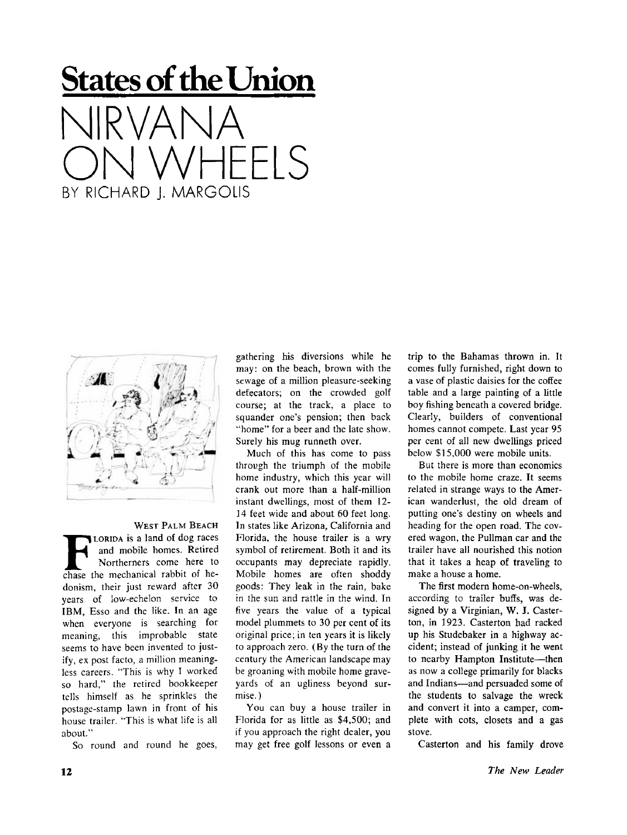## **States of the Union**  NIRVANA  $H$  H  $\vdash$  IS BY RICHARD I. MARGOLIS



WEST PALM BEACH **F**coridation is a land of dog races<br>
and mobile homes. Retired<br>
Northerners come here to<br>
chase the mechanical rabbit of he-LORIDA is a land of dog races and mobile homes. Retired Northerners come here to donism, their just reward after 30 years of low-echelon service to IBM. Esso and the like. In an age when everyone is searching for meaning, this improbable state seems to have been invented to justify, ex post facto, a million meaningless careers. "This is why I worked so hard," the retired bookkeeper tells himself as he sprinkles the postage-stamp lawn in front of his house trailer. "This is what life is all about."

So round and round he goes,

gathering his diversions while he may: on the beach, brown with the sewage of a million pleasure-seeking defecators; on the crowded golf course; at the track, a place to squander one's pension; then back "home" for a beer and the late show. Surely his mug runneth over.

Much of this has come to pass through the triumph of the mobile home industry, which this year will crank out more than a half-million instant dwellings, most of them 12- 14 feet wide and about 60 feet long. In states like Arizona, California and Florida, the house trailer is a wry symbol of retirement. Both it and its occupants may depreciate rapidly. Mobile homes are often shoddy goods: They leak in the rain, bake in the sun and rattle in the wind. In five years the value of a typical model plummets to 30 per cent of its original price; in ten years it is likely to approach zero. (By the turn of the century the American landscape may be groaning with mobile home graveyards of an ugliness beyond surmise.)

You can buy a house trailer in Florida for as little as \$4,500; and if you approach the right dealer, you may get free golf lessons or even a

trip to the Bahamas thrown in. It comes fully furnished, right down to a vase of plastic daisies for the coffee table and a large painting of a little boy fishing beneath a covered bridge. Clearly, builders of conventional homes cannot compete. Last year 95 per cent of all new dwellings priced below \$15,000 were mobile units.

But there is more than economics to the mobile home craze. It seems related in strange ways to the American wanderlust, the old dream of putting one's destiny on wheels and heading for the open road. The covered wagon, the Pullman car and the trailer have all nourished this notion that it takes a heap of traveling to make a house a home.

The first modem home-on-wheels, according to trailer buffs, was designed by a Virginian, W. J. Casterton, in 1923. Casterton had racked up his Studebaker in a highway accident; instead of junking it he went to nearby Hampton Institute—then as now a college primarily for blacks and Indians—and persuaded some of the students to salvage the wreck and convert it into a camper, complete with cots, closets and a gas stove.

Casterton and his family drove